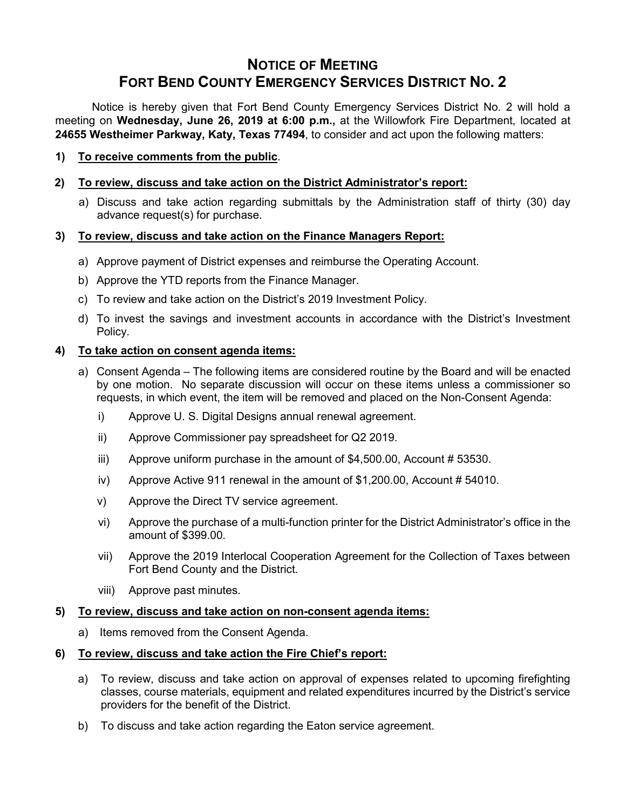# **NOTICE OF MEETING FORT BEND COUNTY EMERGENCY SERVICES DISTRICT NO. 2**

Notice is hereby given that Fort Bend County Emergency Services District No. 2 will hold a meeting on **Wednesday, June 26, 2019 at 6:00 p.m.,** at the Willowfork Fire Department, located at **24655 Westheimer Parkway, Katy, Texas 77494**, to consider and act upon the following matters:

**1) To receive comments from the public**.

## **2) To review, discuss and take action on the District Administrator's report:**

a) Discuss and take action regarding submittals by the Administration staff of thirty (30) day advance request(s) for purchase.

## **3) To review, discuss and take action on the Finance Managers Report:**

- a) Approve payment of District expenses and reimburse the Operating Account.
- b) Approve the YTD reports from the Finance Manager.
- c) To review and take action on the District's 2019 Investment Policy.
- d) To invest the savings and investment accounts in accordance with the District's Investment Policy.

## **4) To take action on consent agenda items:**

- a) Consent Agenda The following items are considered routine by the Board and will be enacted by one motion. No separate discussion will occur on these items unless a commissioner so requests, in which event, the item will be removed and placed on the Non-Consent Agenda:
	- i) Approve U. S. Digital Designs annual renewal agreement.
	- ii) Approve Commissioner pay spreadsheet for Q2 2019.
	- iii) Approve uniform purchase in the amount of \$4,500.00, Account # 53530.
	- iv) Approve Active 911 renewal in the amount of \$1,200.00, Account # 54010.
	- v) Approve the Direct TV service agreement.
	- vi) Approve the purchase of a multi-function printer for the District Administrator's office in the amount of \$399.00.
	- vii) Approve the 2019 Interlocal Cooperation Agreement for the Collection of Taxes between Fort Bend County and the District.
	- viii) Approve past minutes.

#### **5) To review, discuss and take action on non-consent agenda items:**

a) Items removed from the Consent Agenda.

#### **6) To review, discuss and take action the Fire Chief's report:**

- a) To review, discuss and take action on approval of expenses related to upcoming firefighting classes, course materials, equipment and related expenditures incurred by the District's service providers for the benefit of the District.
- b) To discuss and take action regarding the Eaton service agreement.